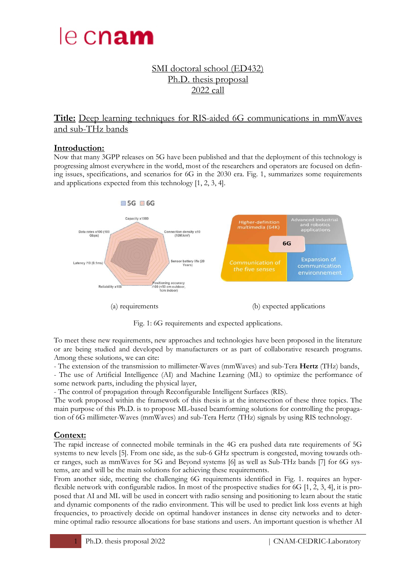

# SMI doctoral school (ED432) Ph.D. thesis proposal 2022 call

**Title:** Deep learning techniques for RIS-aided 6G communications in mmWaves and sub-THz bands

#### **Introduction:**

Now that many 3GPP releases on 5G have been published and that the deployment of this technology is progressing almost everywhere in the world, most of the researchers and operators are focused on defining issues, specifications, and scenarios for 6G in the 2030 era. Fig. 1, summarizes some requirements and applications expected from this technology [1, 2, 3, 4].



Fig. 1: 6G requirements and expected applications.

To meet these new requirements, new approaches and technologies have been proposed in the literature or are being studied and developed by manufacturers or as part of collaborative research programs. Among these solutions, we can cite:

- The extension of the transmission to millimeter-Waves (mmWaves) and sub-Tera **Hertz** (THz) bands,

- The use of Artificial Intelligence (AI) and Machine Learning (ML) to optimize the performance of some network parts, including the physical layer,

- The control of propagation through Reconfigurable Intelligent Surfaces (RIS).

The work proposed within the framework of this thesis is at the intersection of these three topics. The main purpose of this Ph.D. is to propose ML-based beamforming solutions for controlling the propagation of 6G millimeter-Waves (mmWaves) and sub-Tera Hertz (THz) signals by using RIS technology.

#### **Context:**

The rapid increase of connected mobile terminals in the 4G era pushed data rate requirements of 5G systems to new levels [5]. From one side, as the sub-6 GHz spectrum is congested, moving towards other ranges, such as mmWaves for 5G and Beyond systems [6] as well as Sub-THz bands [7] for 6G systems, are and will be the main solutions for achieving these requirements.

From another side, meeting the challenging 6G requirements identified in Fig. 1. requires an hyperflexible network with configurable radios. In most of the prospective studies for 6G [1, 2, 3, 4], it is proposed that AI and ML will be used in concert with radio sensing and positioning to learn about the static and dynamic components of the radio environment. This will be used to predict link loss events at high frequencies, to proactively decide on optimal handover instances in dense city networks and to determine optimal radio resource allocations for base stations and users. An important question is whether AI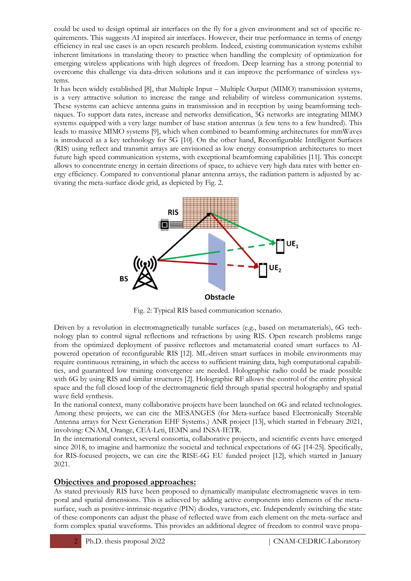could be used to design optimal air interfaces on the fly for a given environment and set of specific requirements. This suggests AI inspired air interfaces. However, their true performance in terms of energy efficiency in real use cases is an open research problem. Indeed, existing communication systems exhibit inherent limitations in translating theory to practice when handling the complexity of optimization for emerging wireless applications with high degrees of freedom. Deep learning has a strong potential to overcome this challenge via data-driven solutions and it can improve the performance of wireless systems.

It has been widely established [8], that Multiple Input – Multiple Output (MIMO) transmission systems, is a very attractive solution to increase the range and reliability of wireless communication systems. These systems can achieve antenna gains in transmission and in reception by using beamforming techniques. To support data rates, increase and networks densification, 5G networks are integrating MIMO systems equipped with a very large number of base station antennas (a few tens to a few hundred). This leads to massive MIMO systems [9], which when combined to beamforming architectures for mmWaves is introduced as a key technology for 5G [10]. On the other hand, Reconfigurable Intelligent Surfaces (RIS) using reflect and transmit arrays are envisioned as low energy consumption architectures to meet future high speed communication systems, with exceptional beamforming capabilities [11]. This concept allows to concentrate energy in certain directions of space, to achieve very high data rates with better energy efficiency. Compared to conventional planar antenna arrays, the radiation pattern is adjusted by activating the meta-surface diode grid, as depicted by Fig. 2.



Fig. 2: Typical RIS based communication scenario.

Driven by a revolution in electromagnetically tunable surfaces (e.g., based on metamaterials), 6G technology plan to control signal reflections and refractions by using RIS. Open research problems range from the optimized deployment of passive reflectors and metamaterial coated smart surfaces to AIpowered operation of reconfigurable RIS [12]. ML-driven smart surfaces in mobile environments may require continuous retraining, in which the access to sufficient training data, high computational capabilities, and guaranteed low training convergence are needed. Holographic radio could be made possible with 6G by using RIS and similar structures [2]. Holographic RF allows the control of the entire physical space and the full closed loop of the electromagnetic field through spatial spectral holography and spatial wave field synthesis.

In the national context, many collaborative projects have been launched on 6G and related technologies. Among these projects, we can cite the MESANGES (for Meta-surface based Electronically Steerable Antenna arrays for Next Generation EHF Systems.) ANR project [13], which started in February 2021, involving: CNAM, Orange, CEA-Leti, IEMN and INSA-IETR.

In the international context, several consortia, collaborative projects, and scientific events have emerged since 2018, to imagine and harmonize the societal and technical expectations of 6G [14-25]. Specifically, for RIS-focused projects, we can cite the RISE-6G EU funded project [12], which started in January 2021.

### **Objectives and proposed approaches:**

As stated previously RIS have been proposed to dynamically manipulate electromagnetic waves in temporal and spatial dimensions. This is achieved by adding active components into elements of the metasurface, such as positive-intrinsic-negative (PIN) diodes, varactors, etc. Independently switching the state of these components can adjust the phase of reflected wave from each element on the meta-surface and form complex spatial waveforms. This provides an additional degree of freedom to control wave propa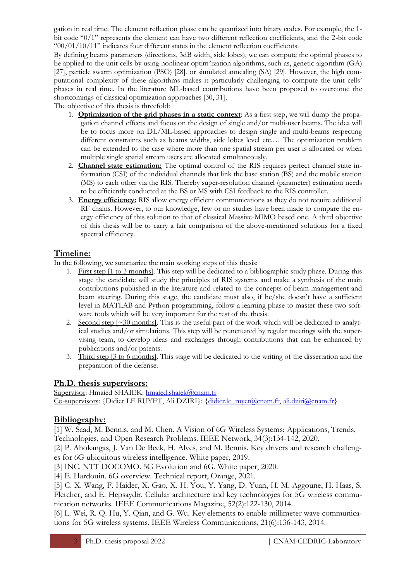gation in real time. The element reflection phase can be quantized into binary codes. For example, the 1 bit code "0/1" represents the element can have two different reflection coefficients, and the 2-bit code  $^{600/01/10/11}$ " indicates four different states in the element reflection coefficients.

By defining beams parameters (directions, 3dB width, side lobes), we can compute the optimal phases to be applied to the unit cells by using nonlinear optim<sup>2</sup>ization algorithms, such as, genetic algorithm (GA) [27], particle swarm optimization (PSO) [28], or simulated annealing (SA) [29]. However, the high computational complexity of these algorithms makes it particularly challenging to compute the unit cells' phases in real time. In the literature ML-based contributions have been proposed to overcome the shortcomings of classical optimization approaches [30, 31].

The objective of this thesis is threefold:

- 1. **Optimization of the grid phases in a static context**: As a first step, we will dump the propagation channel effects and focus on the design of single and/or multi-user beams. The idea will be to focus more on DL/ML-based approaches to design single and multi-beams respecting different constraints such as beams widths, side lobes level etc.… The optimization problem can be extended to the case where more than one spatial stream per user is allocated or when multiple single spatial stream users are allocated simultaneously.
- 2. **Channel state estimation:** The optimal control of the RIS requires perfect channel state information (CSI) of the individual channels that link the base station (BS) and the mobile station (MS) to each other via the RIS. Thereby super-resolution channel (parameter) estimation needs to be efficiently conducted at the BS or MS with CSI feedback to the RIS controller.
- 3. **Energy efficiency:** RIS allow energy efficient communications as they do not require additional RF chains. However, to our knowledge, few or no studies have been made to compare the energy efficiency of this solution to that of classical Massive-MIMO based one. A third objective of this thesis will be to carry a fair comparison of the above-mentioned solutions for a fixed spectral efficiency.

## **Timeline:**

In the following, we summarize the main working steps of this thesis:

- 1. First step [1 to 3 months]. This step will be dedicated to a bibliographic study phase. During this stage the candidate will study the principles of RIS systems and make a synthesis of the main contributions published in the literature and related to the concepts of beam management and beam steering. During this stage, the candidate must also, if he/she doesn't have a sufficient level in MATLAB and Python programming, follow a learning phase to master these two software tools which will be very important for the rest of the thesis.
- 2. Second step  $\lceil \sim 30 \rceil$  months. This is the useful part of the work which will be dedicated to analytical studies and/or simulations. This step will be punctuated by regular meetings with the supervising team, to develop ideas and exchanges through contributions that can be enhanced by publications and/or patents.
- 3. Third step [3 to 6 months]. This stage will be dedicated to the writing of the dissertation and the preparation of the defense.

### **Ph.D. thesis supervisors:**

Supervisor: Hmaied SHAIEK: [hmaied.shaiek@cnam.fr](mailto:hmaied.shaiek@cnam.fr) Co-supervisors: {Didier LE RUYET, Ali DZIRI}: [{didier.le\\_ruyet@cnam.fr,](mailto:didier.le_ruyet@cnam.fr) [ali.dziri@cnam.fr}](mailto:ali.dziri@cnam.fr)

# **Bibliography:**

[1] W. Saad, M. Bennis, and M. Chen. A Vision of 6G Wireless Systems: Applications, Trends, Technologies, and Open Research Problems. IEEE Network, 34(3):134-142, 2020.

[2] P. Ahokangas, J. Van De Beek, H. Alves, and M. Bennis. Key drivers and research challenges for 6G ubiquitous wireless intelligence. White paper, 2019.

[3] INC. NTT DOCOMO. 5G Evolution and 6G. White paper, 2020.

[4] E. Hardouin. 6G overview. Technical report, Orange, 2021.

[5] C. X. Wang, F. Haider, X. Gao, X. H. You, Y. Yang, D. Yuan, H. M. Aggoune, H. Haas, S. Fletcher, and E. Hepsaydir. Cellular architecture and key technologies for 5G wireless communication networks. IEEE Communications Magazine, 52(2):122-130, 2014.

[6] L. Wei, R. Q. Hu, Y. Qian, and G. Wu. Key elements to enable millimeter wave communications for 5G wireless systems. IEEE Wireless Communications, 21(6):136-143, 2014.